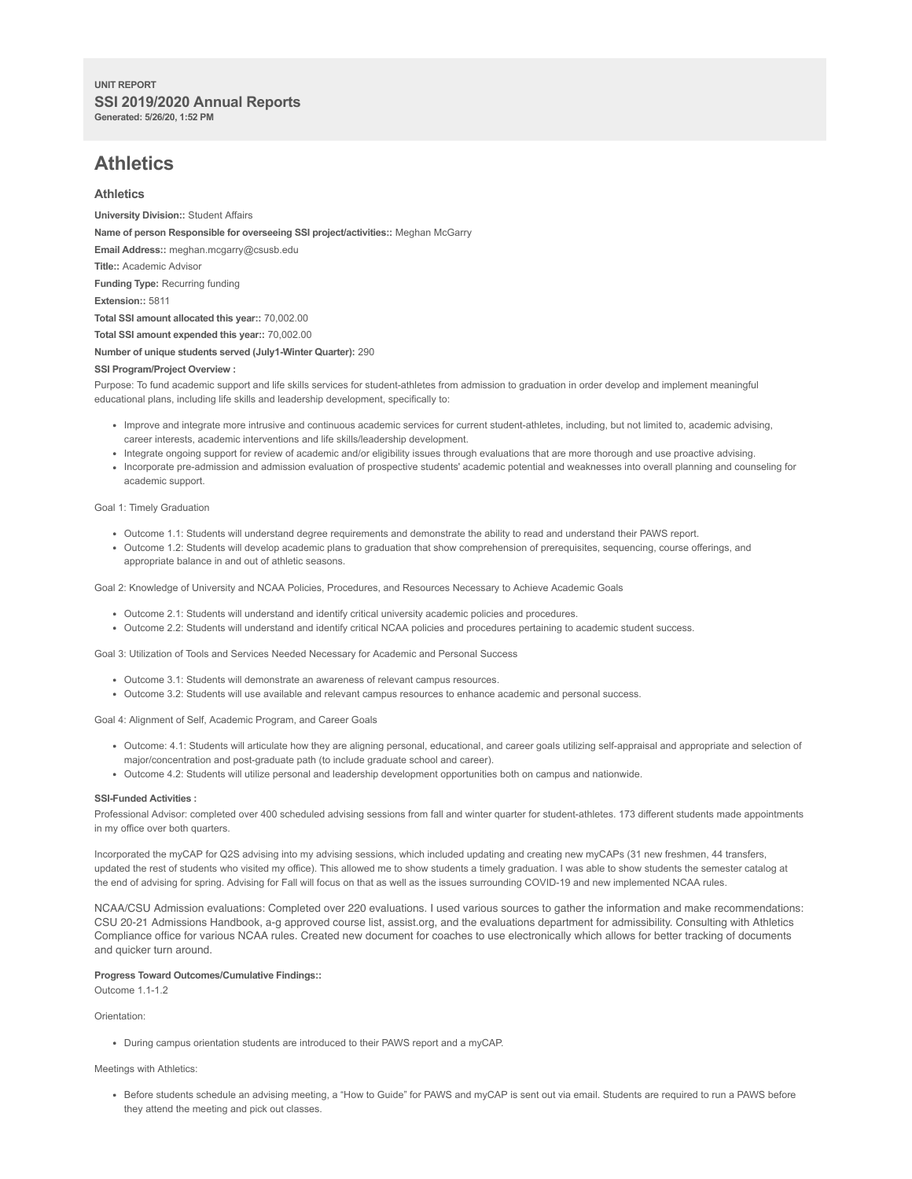# **UNIT REPORT SSI 2019/2020 Annual Reports Generated: 5/26/20, 1:52 PM**

# **Athletics**

# **Athletics**

**University Division::** Student Affairs **Name of person Responsible for overseeing SSI project/activities::** Meghan McGarry **Email Address::** meghan.mcgarry@csusb.edu **Title::** Academic Advisor **Funding Type:** Recurring funding **Extension::** 5811 **Total SSI amount allocated this year::** 70,002.00 **Total SSI amount expended this year::** 70,002.00 **Number of unique students served (July1-Winter Quarter):** 290 **SSI Program/Project Overview :**

Purpose: To fund academic support and life skills services for student-athletes from admission to graduation in order develop and implement meaningful educational plans, including life skills and leadership development, specifically to:

- Improve and integrate more intrusive and continuous academic services for current student-athletes, including, but not limited to, academic advising, career interests, academic interventions and life skills/leadership development.
- Integrate ongoing support for review of academic and/or eligibility issues through evaluations that are more thorough and use proactive advising.
- Incorporate pre-admission and admission evaluation of prospective students' academic potential and weaknesses into overall planning and counseling for academic support.

Goal 1: Timely Graduation

- Outcome 1.1: Students will understand degree requirements and demonstrate the ability to read and understand their PAWS report.
- Outcome 1.2: Students will develop academic plans to graduation that show comprehension of prerequisites, sequencing, course offerings, and appropriate balance in and out of athletic seasons.

Goal 2: Knowledge of University and NCAA Policies, Procedures, and Resources Necessary to Achieve Academic Goals

- Outcome 2.1: Students will understand and identify critical university academic policies and procedures.
- Outcome 2.2: Students will understand and identify critical NCAA policies and procedures pertaining to academic student success.

Goal 3: Utilization of Tools and Services Needed Necessary for Academic and Personal Success

- Outcome 3.1: Students will demonstrate an awareness of relevant campus resources.
- Outcome 3.2: Students will use available and relevant campus resources to enhance academic and personal success.

Goal 4: Alignment of Self, Academic Program, and Career Goals

- Outcome: 4.1: Students will articulate how they are aligning personal, educational, and career goals utilizing self-appraisal and appropriate and selection of major/concentration and post-graduate path (to include graduate school and career).
- Outcome 4.2: Students will utilize personal and leadership development opportunities both on campus and nationwide.

## **SSI-Funded Activities :**

Professional Advisor: completed over 400 scheduled advising sessions from fall and winter quarter for student-athletes. 173 different students made appointments in my office over both quarters.

Incorporated the myCAP for Q2S advising into my advising sessions, which included updating and creating new myCAPs (31 new freshmen, 44 transfers, updated the rest of students who visited my office). This allowed me to show students a timely graduation. I was able to show students the semester catalog at the end of advising for spring. Advising for Fall will focus on that as well as the issues surrounding COVID-19 and new implemented NCAA rules.

NCAA/CSU Admission evaluations: Completed over 220 evaluations. I used various sources to gather the information and make recommendations: CSU 20-21 Admissions Handbook, a-g approved course list, assist.org, and the evaluations department for admissibility. Consulting with Athletics Compliance office for various NCAA rules. Created new document for coaches to use electronically which allows for better tracking of documents and quicker turn around.

# **Progress Toward Outcomes/Cumulative Findings::**

Outcome 1.1-1.2

Orientation:

During campus orientation students are introduced to their PAWS report and a myCAP.

## Meetings with Athletics:

Before students schedule an advising meeting, a "How to Guide" for PAWS and myCAP is sent out via email. Students are required to run a PAWS before they attend the meeting and pick out classes.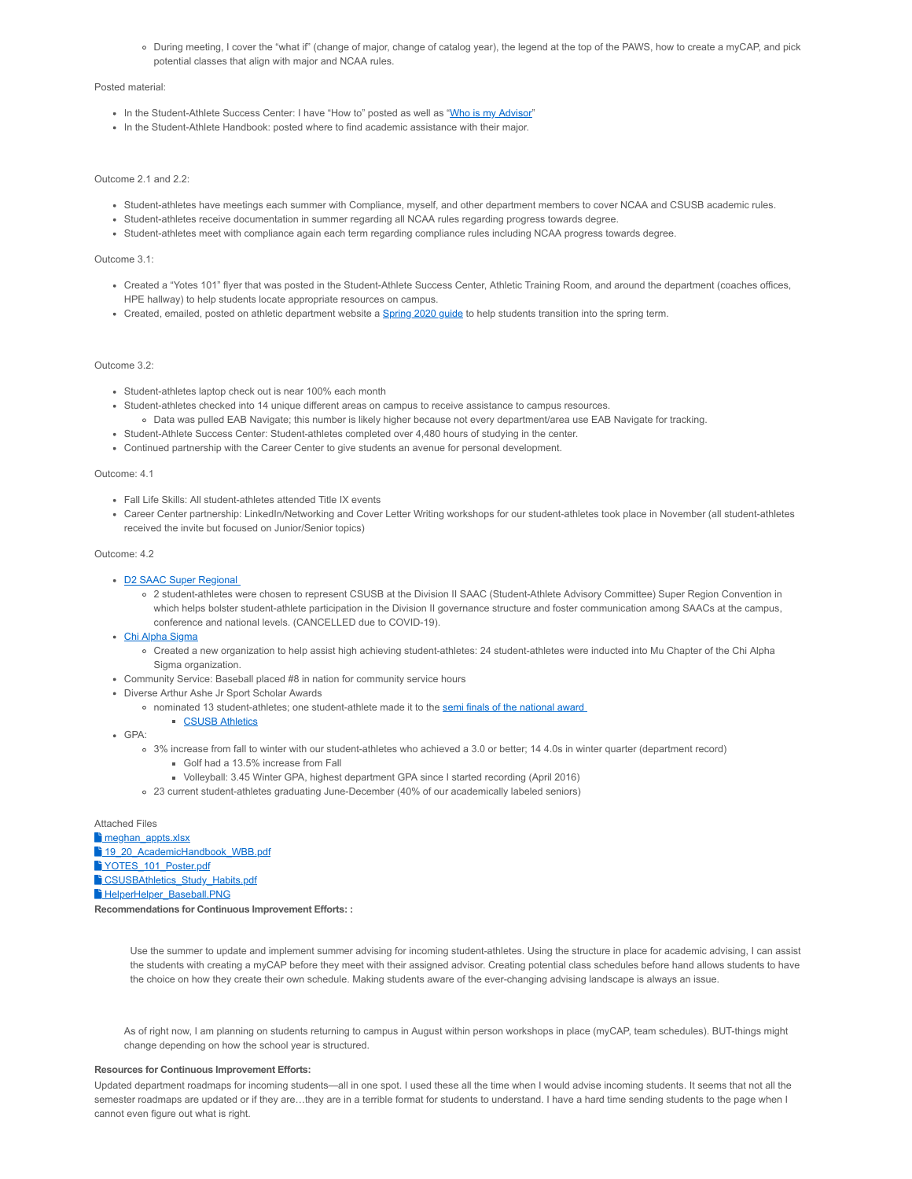During meeting, I cover the "what if" (change of major, change of catalog year), the legend at the top of the PAWS, how to create a myCAP, and pick potential classes that align with major and NCAA rules.

#### Posted material:

- In the Student-Athlete Success Center: I have "How to" posted as well as "Who is my Advisor"
- In the Student-Athlete Handbook: posted where to find academic assistance with their major.

## Outcome 2.1 and 2.2:

- Student-athletes have meetings each summer with Compliance, myself, and other department members to cover NCAA and CSUSB academic rules.
- Student-athletes receive documentation in summer regarding all NCAA rules regarding progress towards degree.
- Student-athletes meet with compliance again each term regarding compliance rules including NCAA progress towards degree.

## Outcome 3.1:

- Created a "Yotes 101" flyer that was posted in the Student-Athlete Success Center, Athletic Training Room, and around the department (coaches offices, HPE hallway) to help students locate appropriate resources on campus.
- Created, emailed, posted on athletic department website a Spring 2020 guide to help students transition into the spring term.

## Outcome 3.2:

- Student-athletes laptop check out is near 100% each month
- Student-athletes checked into 14 unique different areas on campus to receive assistance to campus resources.
	- Data was pulled EAB Navigate; this number is likely higher because not every department/area use EAB Navigate for tracking.
- Student-Athlete Success Center: Student-athletes completed over 4,480 hours of studying in the center.
- Continued partnership with the Career Center to give students an avenue for personal development.

#### Outcome: 4.1

- Fall Life Skills: All student-athletes attended Title IX events
- Career Center partnership: LinkedIn/Networking and Cover Letter Writing workshops for our student-athletes took place in November (all student-athletes received the invite but focused on Junior/Senior topics)

#### Outcome: 4.2

- D2 SAAC Super Regional
	- 2 student-athletes were chosen to represent CSUSB at the Division II SAAC (Student-Athlete Advisory Committee) Super Region Convention in which helps bolster student-athlete participation in the Division II governance structure and foster communication among SAACs at the campus, conference and national levels. (CANCELLED due to COVID-19).

#### • Chi Alpha Sigma

- Created a new organization to help assist high achieving student-athletes: 24 student-athletes were inducted into Mu Chapter of the Chi Alpha Sigma organization.
- Community Service: Baseball placed #8 in nation for community service hours
- Diverse Arthur Ashe Jr Sport Scholar Awards
	- nominated 13 student-athletes; one student-athlete made it to the semi finals of the national award

# **CSUSB Athletics**

- GPA:
	- 3% increase from fall to winter with our student-athletes who achieved a 3.0 or better; 14 4.0s in winter quarter (department record)
		- Golf had a 13.5% increase from Fall
		- Volleyball: 3.45 Winter GPA, highest department GPA since I started recording (April 2016)
	- 23 current student-athletes graduating June-December (40% of our academically labeled seniors)

#### Attached Files

meghan\_appts.xlsx

<sup>1</sup> 19 20 AcademicHandbook\_WBB.pdf <sup>1</sup>YOTES 101 Poster.pdf

<sup>1</sup> CSUSBAthletics Study Habits.pdf

**Fi** HelperHelper\_Baseball.PNG

**Recommendations for Continuous Improvement Efforts: :**

Use the summer to update and implement summer advising for incoming student-athletes. Using the structure in place for academic advising, I can assist the students with creating a myCAP before they meet with their assigned advisor. Creating potential class schedules before hand allows students to have the choice on how they create their own schedule. Making students aware of the ever-changing advising landscape is always an issue.

As of right now, I am planning on students returning to campus in August within person workshops in place (myCAP, team schedules). BUT-things might change depending on how the school year is structured.

## **Resources for Continuous Improvement Efforts:**

Updated department roadmaps for incoming students—all in one spot. I used these all the time when I would advise incoming students. It seems that not all the semester roadmaps are updated or if they are...they are in a terrible format for students to understand. I have a hard time sending students to the page when I cannot even figure out what is right.